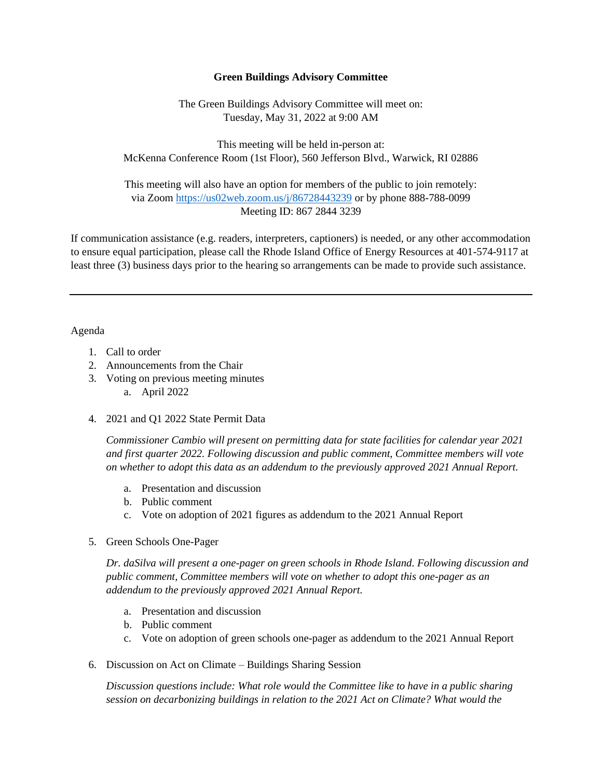## **Green Buildings Advisory Committee**

The Green Buildings Advisory Committee will meet on: Tuesday, May 31, 2022 at 9:00 AM

This meeting will be held in-person at: McKenna Conference Room (1st Floor), 560 Jefferson Blvd., Warwick, RI 02886

This meeting will also have an option for members of the public to join remotely: via Zoom<https://us02web.zoom.us/j/86728443239> or by phone 888-788-0099 Meeting ID: 867 2844 3239

If communication assistance (e.g. readers, interpreters, captioners) is needed, or any other accommodation to ensure equal participation, please call the Rhode Island Office of Energy Resources at 401-574-9117 at least three (3) business days prior to the hearing so arrangements can be made to provide such assistance.

## Agenda

- 1. Call to order
- 2. Announcements from the Chair
- 3. Voting on previous meeting minutes
	- a. April 2022
- 4. 2021 and Q1 2022 State Permit Data

*Commissioner Cambio will present on permitting data for state facilities for calendar year 2021 and first quarter 2022. Following discussion and public comment, Committee members will vote on whether to adopt this data as an addendum to the previously approved 2021 Annual Report.*

- a. Presentation and discussion
- b. Public comment
- c. Vote on adoption of 2021 figures as addendum to the 2021 Annual Report
- 5. Green Schools One-Pager

*Dr. daSilva will present a one-pager on green schools in Rhode Island. Following discussion and public comment, Committee members will vote on whether to adopt this one-pager as an addendum to the previously approved 2021 Annual Report.*

- a. Presentation and discussion
- b. Public comment
- c. Vote on adoption of green schools one-pager as addendum to the 2021 Annual Report
- 6. Discussion on Act on Climate Buildings Sharing Session

*Discussion questions include: What role would the Committee like to have in a public sharing session on decarbonizing buildings in relation to the 2021 Act on Climate? What would the*